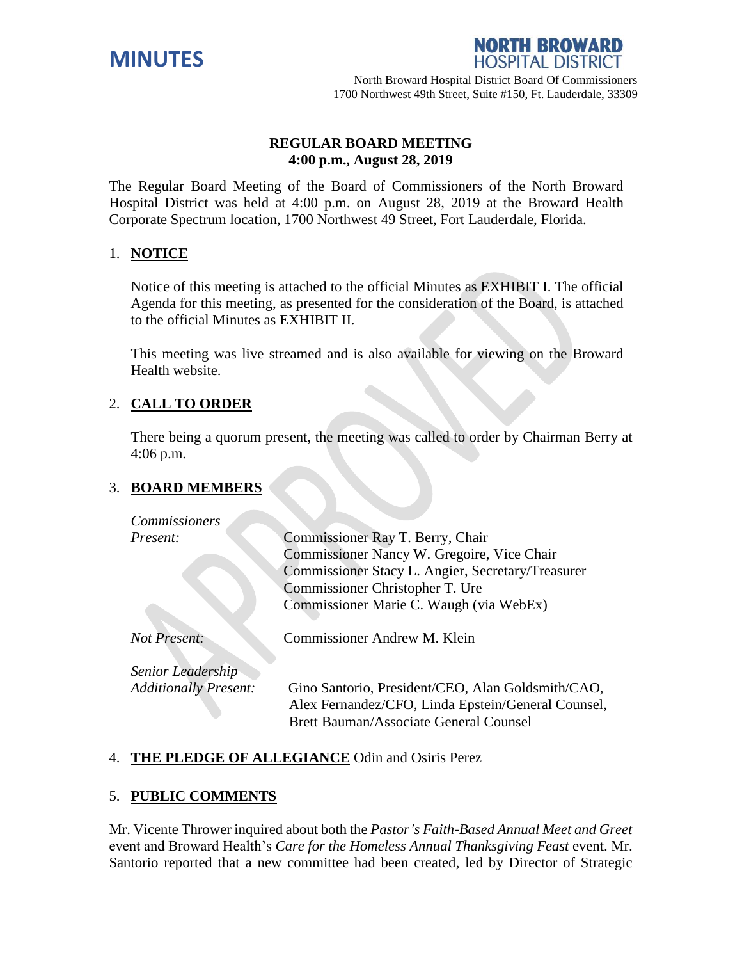



# **REGULAR BOARD MEETING 4:00 p.m., August 28, 2019**

The Regular Board Meeting of the Board of Commissioners of the North Broward Hospital District was held at 4:00 p.m. on August 28, 2019 at the Broward Health Corporate Spectrum location, 1700 Northwest 49 Street, Fort Lauderdale, Florida.

# 1. **NOTICE**

Notice of this meeting is attached to the official Minutes as EXHIBIT I. The official Agenda for this meeting, as presented for the consideration of the Board, is attached to the official Minutes as EXHIBIT II.

This meeting was live streamed and is also available for viewing on the Broward Health website.

# 2. **CALL TO ORDER**

There being a quorum present, the meeting was called to order by Chairman Berry at 4:06 p.m.

#### 3. **BOARD MEMBERS**

| <b>Commissioners</b>         |                                                                                                                                                   |
|------------------------------|---------------------------------------------------------------------------------------------------------------------------------------------------|
| <i>Present:</i>              | Commissioner Ray T. Berry, Chair                                                                                                                  |
|                              | Commissioner Nancy W. Gregoire, Vice Chair                                                                                                        |
|                              | Commissioner Stacy L. Angier, Secretary/Treasurer                                                                                                 |
|                              | Commissioner Christopher T. Ure                                                                                                                   |
|                              | Commissioner Marie C. Waugh (via WebEx)                                                                                                           |
| Not Present:                 | Commissioner Andrew M. Klein                                                                                                                      |
| Senior Leadership            |                                                                                                                                                   |
| <b>Additionally Present:</b> | Gino Santorio, President/CEO, Alan Goldsmith/CAO,<br>Alex Fernandez/CFO, Linda Epstein/General Counsel,<br>Brett Bauman/Associate General Counsel |

# 4. **THE PLEDGE OF ALLEGIANCE** Odin and Osiris Perez

# 5. **PUBLIC COMMENTS**

Mr. Vicente Thrower inquired about both the *Pastor's Faith-Based Annual Meet and Greet*  event and Broward Health's *Care for the Homeless Annual Thanksgiving Feast* event. Mr. Santorio reported that a new committee had been created, led by Director of Strategic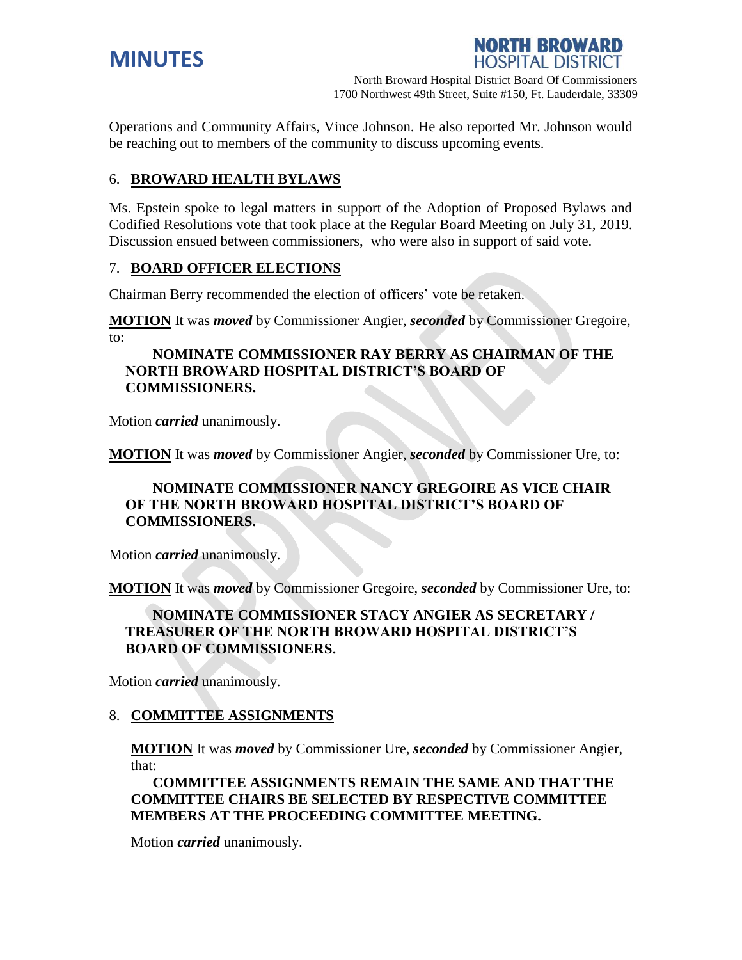



Operations and Community Affairs, Vince Johnson. He also reported Mr. Johnson would be reaching out to members of the community to discuss upcoming events.

# 6. **BROWARD HEALTH BYLAWS**

Ms. Epstein spoke to legal matters in support of the Adoption of Proposed Bylaws and Codified Resolutions vote that took place at the Regular Board Meeting on July 31, 2019. Discussion ensued between commissioners, who were also in support of said vote.

### 7. **BOARD OFFICER ELECTIONS**

Chairman Berry recommended the election of officers' vote be retaken.

**MOTION** It was *moved* by Commissioner Angier, *seconded* by Commissioner Gregoire, to:

## **NOMINATE COMMISSIONER RAY BERRY AS CHAIRMAN OF THE NORTH BROWARD HOSPITAL DISTRICT'S BOARD OF COMMISSIONERS.**

Motion *carried* unanimously.

**MOTION** It was *moved* by Commissioner Angier, *seconded* by Commissioner Ure, to:

## **NOMINATE COMMISSIONER NANCY GREGOIRE AS VICE CHAIR OF THE NORTH BROWARD HOSPITAL DISTRICT'S BOARD OF COMMISSIONERS.**

Motion *carried* unanimously.

**MOTION** It was *moved* by Commissioner Gregoire, *seconded* by Commissioner Ure, to:

## **NOMINATE COMMISSIONER STACY ANGIER AS SECRETARY / TREASURER OF THE NORTH BROWARD HOSPITAL DISTRICT'S BOARD OF COMMISSIONERS.**

Motion *carried* unanimously.

#### 8. **COMMITTEE ASSIGNMENTS**

**MOTION** It was *moved* by Commissioner Ure, *seconded* by Commissioner Angier, that:

**COMMITTEE ASSIGNMENTS REMAIN THE SAME AND THAT THE COMMITTEE CHAIRS BE SELECTED BY RESPECTIVE COMMITTEE MEMBERS AT THE PROCEEDING COMMITTEE MEETING.**

Motion *carried* unanimously.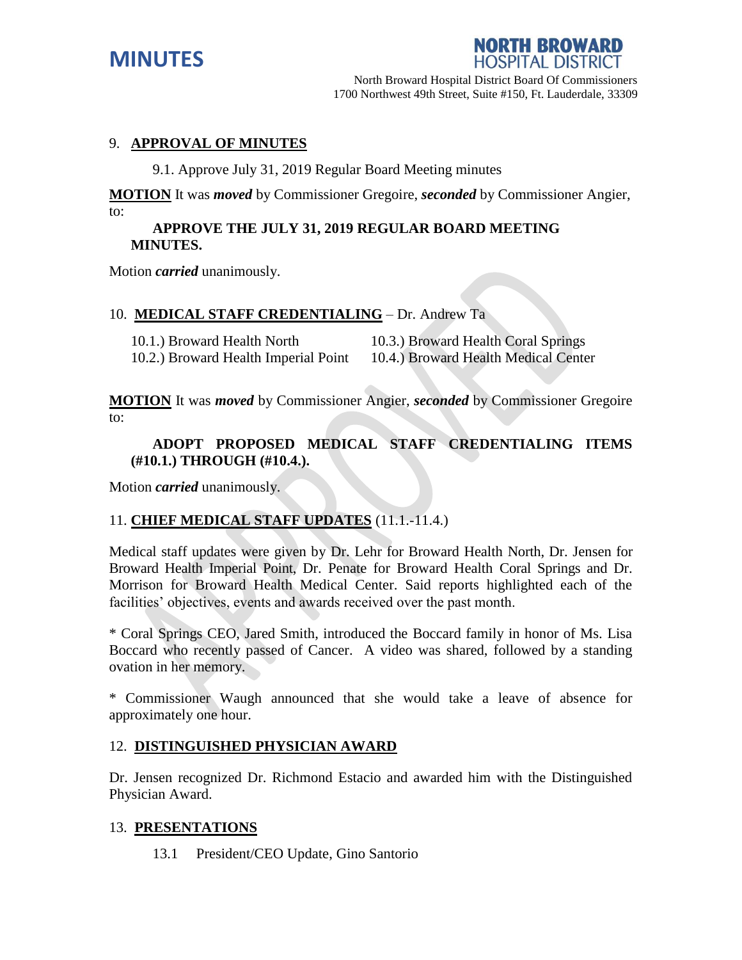

NORTH BROWARD

### 9. **APPROVAL OF MINUTES**

9.1. Approve July 31, 2019 Regular Board Meeting minutes

**MOTION** It was *moved* by Commissioner Gregoire, *seconded* by Commissioner Angier, to:

#### **APPROVE THE JULY 31, 2019 REGULAR BOARD MEETING MINUTES.**

Motion *carried* unanimously.

#### 10. **MEDICAL STAFF CREDENTIALING** – Dr. Andrew Ta

| 10.1.) Broward Health North          | 10.3.) Broward Health Coral Springs  |
|--------------------------------------|--------------------------------------|
| 10.2.) Broward Health Imperial Point | 10.4.) Broward Health Medical Center |

**MOTION** It was *moved* by Commissioner Angier, *seconded* by Commissioner Gregoire to:

### **ADOPT PROPOSED MEDICAL STAFF CREDENTIALING ITEMS (#10.1.) THROUGH (#10.4.).**

Motion *carried* unanimously.

#### 11. **CHIEF MEDICAL STAFF UPDATES** (11.1.-11.4.)

Medical staff updates were given by Dr. Lehr for Broward Health North, Dr. Jensen for Broward Health Imperial Point, Dr. Penate for Broward Health Coral Springs and Dr. Morrison for Broward Health Medical Center. Said reports highlighted each of the facilities' objectives, events and awards received over the past month.

\* Coral Springs CEO, Jared Smith, introduced the Boccard family in honor of Ms. Lisa Boccard who recently passed of Cancer. A video was shared, followed by a standing ovation in her memory.

\* Commissioner Waugh announced that she would take a leave of absence for approximately one hour.

#### 12. **DISTINGUISHED PHYSICIAN AWARD**

Dr. Jensen recognized Dr. Richmond Estacio and awarded him with the Distinguished Physician Award.

#### 13. **PRESENTATIONS**

13.1 President/CEO Update, Gino Santorio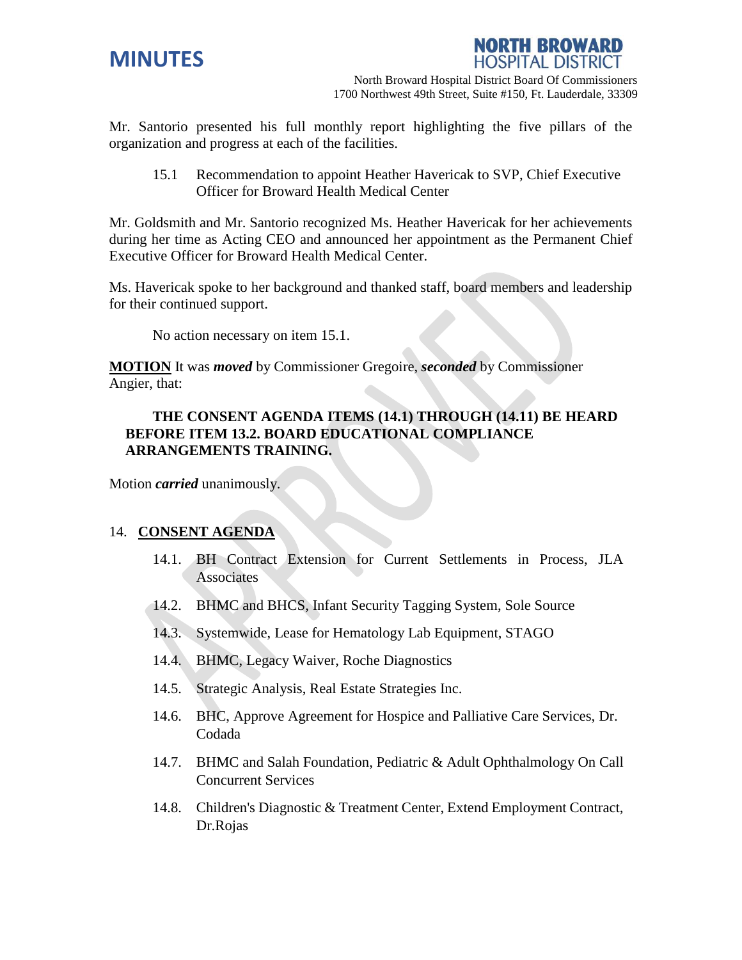



Mr. Santorio presented his full monthly report highlighting the five pillars of the organization and progress at each of the facilities.

15.1 Recommendation to appoint Heather Havericak to SVP, Chief Executive Officer for Broward Health Medical Center

Mr. Goldsmith and Mr. Santorio recognized Ms. Heather Havericak for her achievements during her time as Acting CEO and announced her appointment as the Permanent Chief Executive Officer for Broward Health Medical Center.

Ms. Havericak spoke to her background and thanked staff, board members and leadership for their continued support.

No action necessary on item 15.1.

**MOTION** It was *moved* by Commissioner Gregoire, *seconded* by Commissioner Angier, that:

# **THE CONSENT AGENDA ITEMS (14.1) THROUGH (14.11) BE HEARD BEFORE ITEM 13.2. BOARD EDUCATIONAL COMPLIANCE ARRANGEMENTS TRAINING.**

Motion *carried* unanimously.

#### 14. **CONSENT AGENDA**

- 14.1. BH Contract Extension for Current Settlements in Process, JLA **Associates**
- 14.2. BHMC and BHCS, Infant Security Tagging System, Sole Source
- 14.3. Systemwide, Lease for Hematology Lab Equipment, STAGO
- 14.4. BHMC, Legacy Waiver, Roche Diagnostics
- 14.5. Strategic Analysis, Real Estate Strategies Inc.
- 14.6. BHC, Approve Agreement for Hospice and Palliative Care Services, Dr. Codada
- 14.7. BHMC and Salah Foundation, Pediatric & Adult Ophthalmology On Call Concurrent Services
- 14.8. Children's Diagnostic & Treatment Center, Extend Employment Contract, Dr.Rojas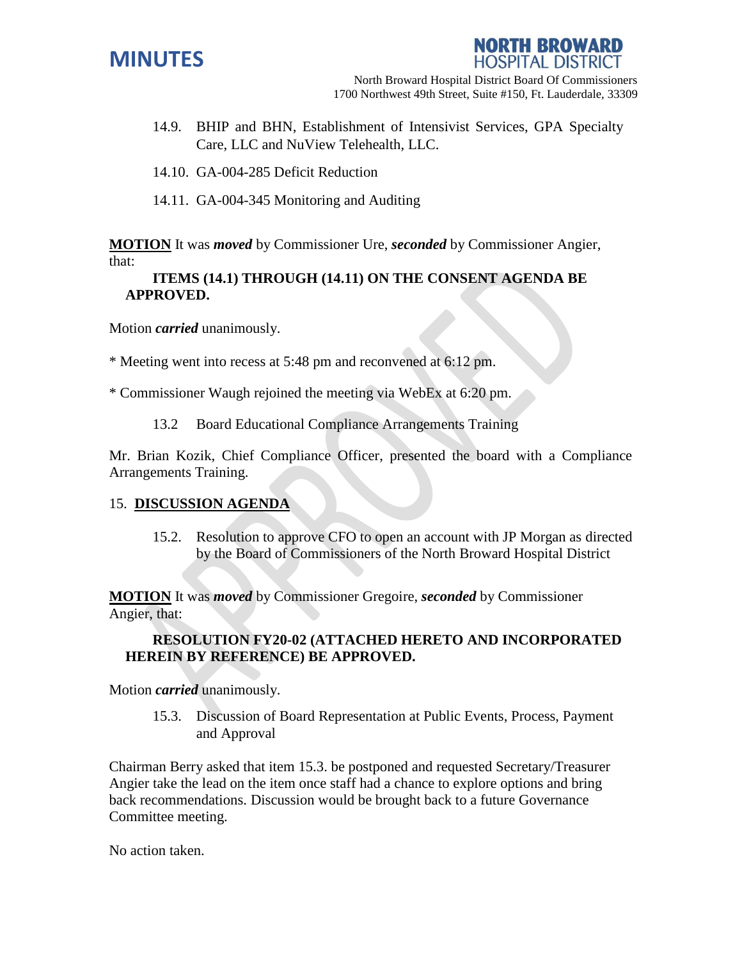



- 14.9. BHIP and BHN, Establishment of Intensivist Services, GPA Specialty Care, LLC and NuView Telehealth, LLC.
- 14.10. GA-004-285 Deficit Reduction
- 14.11. GA-004-345 Monitoring and Auditing

**MOTION** It was *moved* by Commissioner Ure, *seconded* by Commissioner Angier, that:

## **ITEMS (14.1) THROUGH (14.11) ON THE CONSENT AGENDA BE APPROVED.**

Motion *carried* unanimously.

\* Meeting went into recess at 5:48 pm and reconvened at 6:12 pm.

\* Commissioner Waugh rejoined the meeting via WebEx at 6:20 pm.

13.2 Board Educational Compliance Arrangements Training

Mr. Brian Kozik, Chief Compliance Officer, presented the board with a Compliance Arrangements Training.

#### 15. **DISCUSSION AGENDA**

15.2. Resolution to approve CFO to open an account with JP Morgan as directed by the Board of Commissioners of the North Broward Hospital District

**MOTION** It was *moved* by Commissioner Gregoire, *seconded* by Commissioner Angier, that:

### **RESOLUTION FY20-02 (ATTACHED HERETO AND INCORPORATED HEREIN BY REFERENCE) BE APPROVED.**

Motion *carried* unanimously.

15.3. Discussion of Board Representation at Public Events, Process, Payment and Approval

Chairman Berry asked that item 15.3. be postponed and requested Secretary/Treasurer Angier take the lead on the item once staff had a chance to explore options and bring back recommendations. Discussion would be brought back to a future Governance Committee meeting.

No action taken.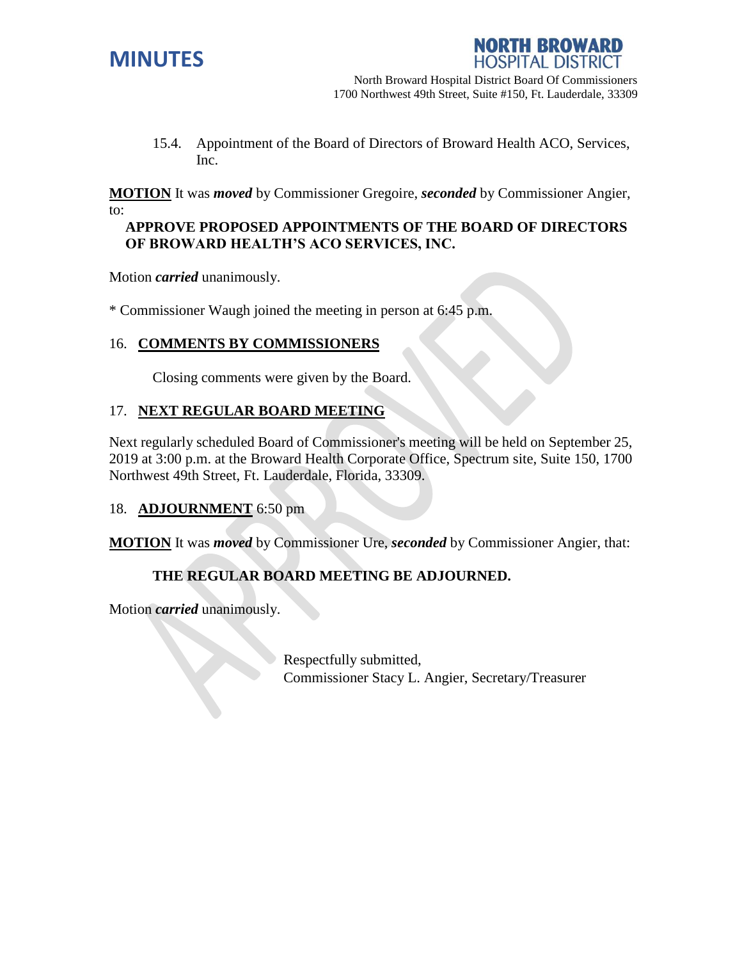



15.4. Appointment of the Board of Directors of Broward Health ACO, Services, Inc.

**MOTION** It was *moved* by Commissioner Gregoire, *seconded* by Commissioner Angier, to:

#### **APPROVE PROPOSED APPOINTMENTS OF THE BOARD OF DIRECTORS OF BROWARD HEALTH'S ACO SERVICES, INC.**

Motion *carried* unanimously.

\* Commissioner Waugh joined the meeting in person at 6:45 p.m.

# 16. **COMMENTS BY COMMISSIONERS**

Closing comments were given by the Board.

# 17. **NEXT REGULAR BOARD MEETING**

Next regularly scheduled Board of Commissioner's meeting will be held on September 25, 2019 at 3:00 p.m. at the Broward Health Corporate Office, Spectrum site, Suite 150, 1700 Northwest 49th Street, Ft. Lauderdale, Florida, 33309.

# 18. **ADJOURNMENT** 6:50 pm

**MOTION** It was *moved* by Commissioner Ure, *seconded* by Commissioner Angier, that:

# **THE REGULAR BOARD MEETING BE ADJOURNED.**

Motion *carried* unanimously.

Respectfully submitted, Commissioner Stacy L. Angier, Secretary/Treasurer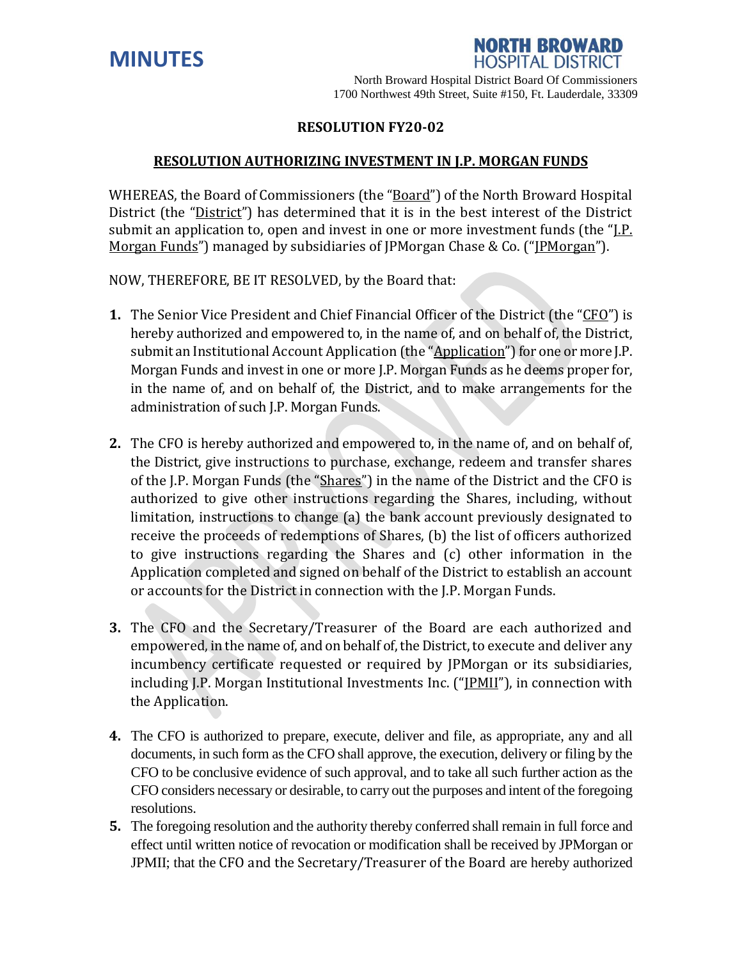



## **RESOLUTION FY20-02**

#### **RESOLUTION AUTHORIZING INVESTMENT IN J.P. MORGAN FUNDS**

WHEREAS, the Board of Commissioners (the "Board") of the North Broward Hospital District (the "District") has determined that it is in the best interest of the District submit an application to, open and invest in one or more investment funds (the "I.P. Morgan Funds") managed by subsidiaries of JPMorgan Chase & Co. ("JPMorgan").

NOW, THEREFORE, BE IT RESOLVED, by the Board that:

- **1.** The Senior Vice President and Chief Financial Officer of the District (the "CFO") is hereby authorized and empowered to, in the name of, and on behalf of, the District, submit an Institutional Account Application (the "Application") for one or more J.P. Morgan Funds and invest in one or more J.P. Morgan Funds as he deems proper for, in the name of, and on behalf of, the District, and to make arrangements for the administration of such J.P. Morgan Funds.
- **2.** The CFO is hereby authorized and empowered to, in the name of, and on behalf of, the District, give instructions to purchase, exchange, redeem and transfer shares of the J.P. Morgan Funds (the "Shares") in the name of the District and the CFO is authorized to give other instructions regarding the Shares, including, without limitation, instructions to change (a) the bank account previously designated to receive the proceeds of redemptions of Shares, (b) the list of officers authorized to give instructions regarding the Shares and (c) other information in the Application completed and signed on behalf of the District to establish an account or accounts for the District in connection with the J.P. Morgan Funds.
- **3.** The CFO and the Secretary/Treasurer of the Board are each authorized and empowered, in the name of, and on behalf of, the District, to execute and deliver any incumbency certificate requested or required by JPMorgan or its subsidiaries, including J.P. Morgan Institutional Investments Inc. ("[PMII"), in connection with the Application.
- **4.** The CFO is authorized to prepare, execute, deliver and file, as appropriate, any and all documents, in such form as the CFO shall approve, the execution, delivery or filing by the CFO to be conclusive evidence of such approval, and to take all such further action as the CFO considers necessary or desirable, to carry out the purposes and intent of the foregoing resolutions.
- **5.** The foregoing resolution and the authority thereby conferred shall remain in full force and effect until written notice of revocation or modification shall be received by JPMorgan or JPMII; that the CFO and the Secretary/Treasurer of the Board are hereby authorized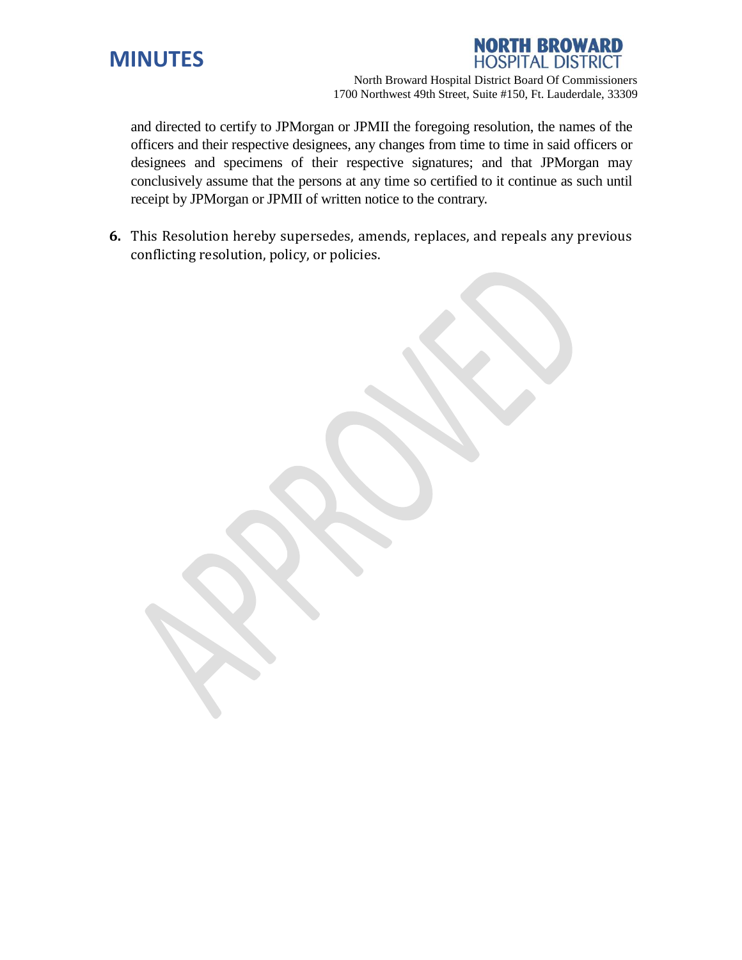



1700 Northwest 49th Street, Suite #150, Ft. Lauderdale, 33309

and directed to certify to JPMorgan or JPMII the foregoing resolution, the names of the officers and their respective designees, any changes from time to time in said officers or designees and specimens of their respective signatures; and that JPMorgan may conclusively assume that the persons at any time so certified to it continue as such until receipt by JPMorgan or JPMII of written notice to the contrary.

**6.** This Resolution hereby supersedes, amends, replaces, and repeals any previous conflicting resolution, policy, or policies.